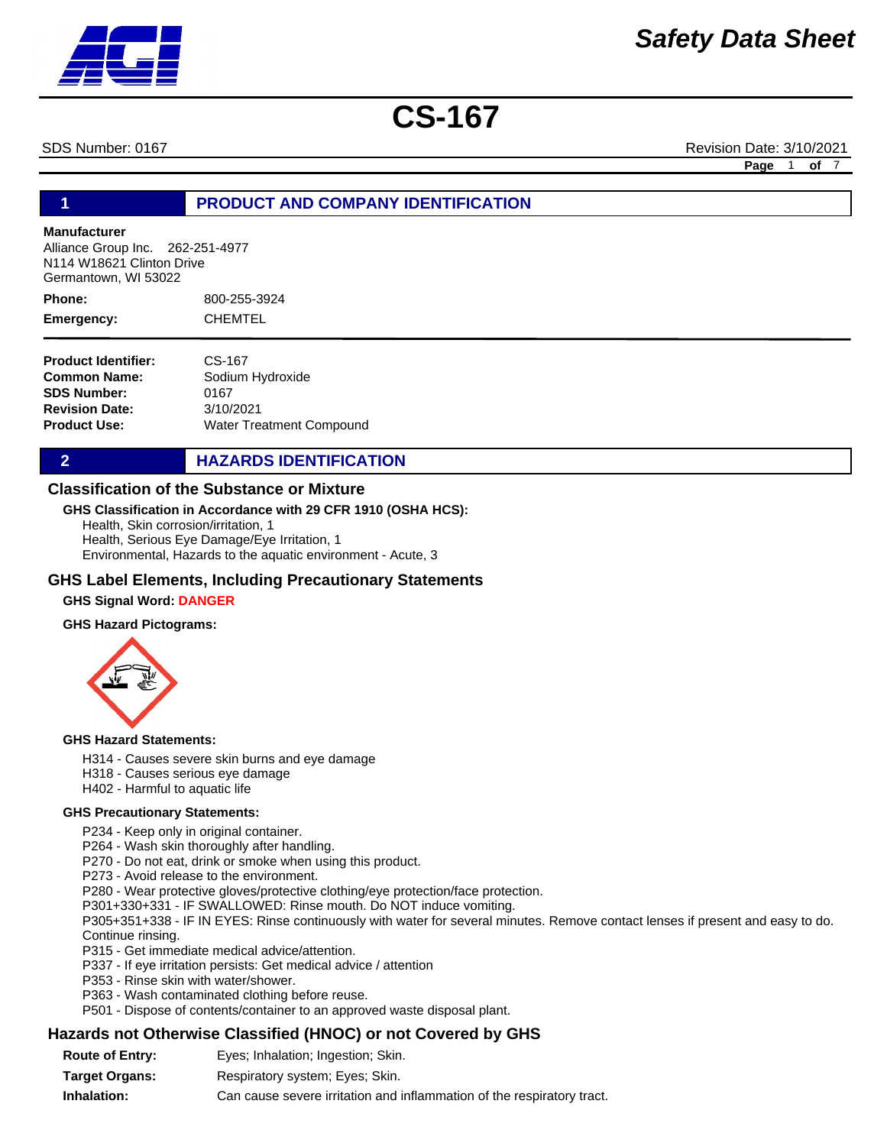SDS Number: 0167 Revision Date: 3/10/2021

**Page** 1 **of** 7

### **1 PRODUCT AND COMPANY IDENTIFICATION**

### **Manufacturer**

Alliance Group Inc. 262-251-4977 N114 W18621 Clinton Drive Germantown, WI 53022

800-255-3924 CHEMTEL **Phone: Emergency:**

| <b>Product Identifier:</b> | CS-167                   |
|----------------------------|--------------------------|
| Common Name:               | Sodium Hydroxide         |
| <b>SDS Number:</b>         | 0167                     |
| <b>Revision Date:</b>      | 3/10/2021                |
| Product Use:               | Water Treatment Compound |

**2 HAZARDS IDENTIFICATION** 

### **Classification of the Substance or Mixture**

### **GHS Classification in Accordance with 29 CFR 1910 (OSHA HCS):**

Health, Skin corrosion/irritation, 1 Health, Serious Eye Damage/Eye Irritation, 1 Environmental, Hazards to the aquatic environment - Acute, 3

### **GHS Label Elements, Including Precautionary Statements**

### **GHS Signal Word: DANGER**

### **GHS Hazard Pictograms:**



### **GHS Hazard Statements:**

- H314 Causes severe skin burns and eye damage
- H318 Causes serious eye damage
- H402 Harmful to aquatic life

### **GHS Precautionary Statements:**

P234 - Keep only in original container.

- P264 Wash skin thoroughly after handling.
- P270 Do not eat, drink or smoke when using this product.
- P273 Avoid release to the environment.
- P280 Wear protective gloves/protective clothing/eye protection/face protection.
- P301+330+331 IF SWALLOWED: Rinse mouth. Do NOT induce vomiting.

P305+351+338 - IF IN EYES: Rinse continuously with water for several minutes. Remove contact lenses if present and easy to do. Continue rinsing.

- P315 Get immediate medical advice/attention.
- P337 If eye irritation persists: Get medical advice / attention
- P353 Rinse skin with water/shower.
- P363 Wash contaminated clothing before reuse.
- P501 Dispose of contents/container to an approved waste disposal plant.

### **Hazards not Otherwise Classified (HNOC) or not Covered by GHS**

**Route of Entry: Target Organs: Inhalation:** Respiratory system; Eyes; Skin. Can cause severe irritation and inflammation of the respiratory tract. Eyes; Inhalation; Ingestion; Skin.

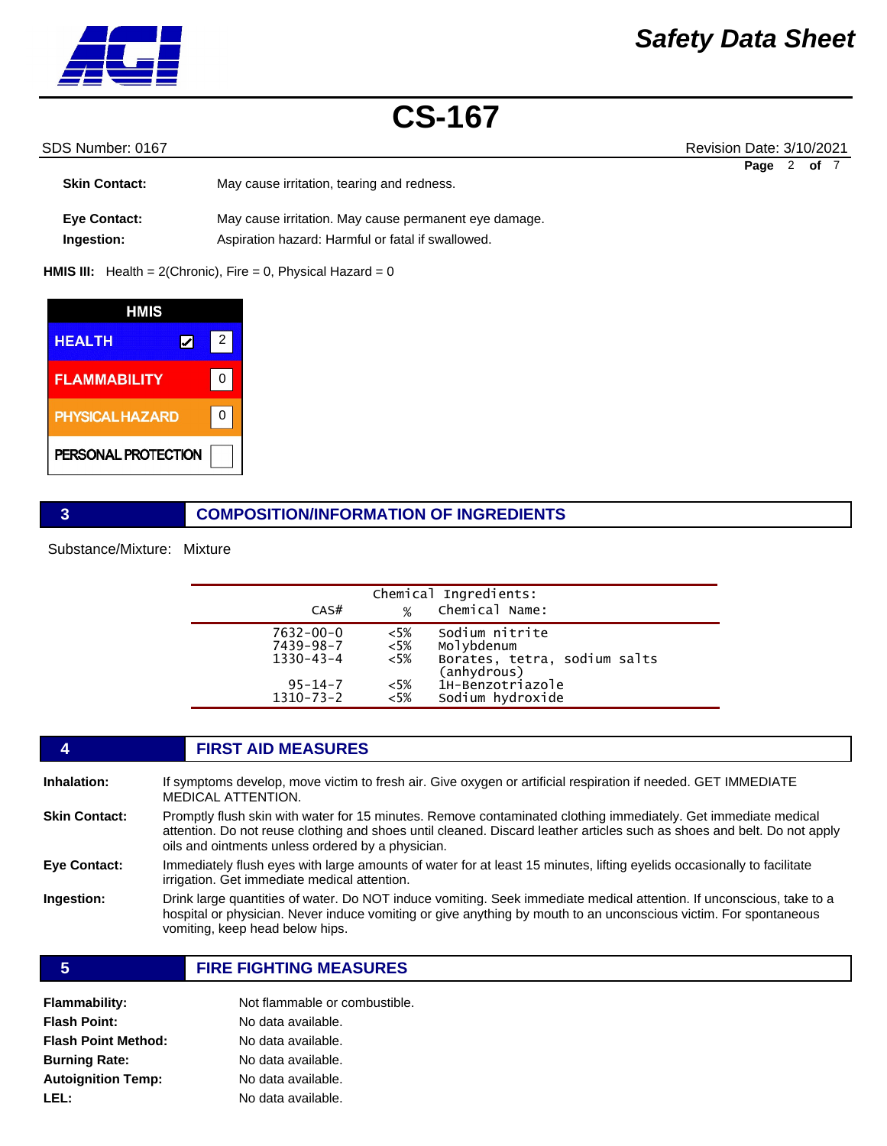

### SDS Number: 0167 Revision Date: 3/10/2021

| <b>Skin Contact:</b> | May cause irritation, tearing and redness.            | Page | of $7$ |  |
|----------------------|-------------------------------------------------------|------|--------|--|
| <b>Eye Contact:</b>  | May cause irritation. May cause permanent eye damage. |      |        |  |
| Ingestion:           | Aspiration hazard: Harmful or fatal if swallowed.     |      |        |  |

**HMIS III:** Health = 2(Chronic), Fire = 0, Physical Hazard = 0

| HMIS                   |   |  |
|------------------------|---|--|
| <b>HEALTH</b>          | 2 |  |
| <b>FLAMMABILITY</b>    | U |  |
| <b>PHYSICAL HAZARD</b> |   |  |
| PERSONAL PROTECTION    |   |  |

### **3 COMPOSITION/INFORMATION OF INGREDIENTS**

Substance/Mixture: Mixture

| CAS#                                                                                | %                                               | Chemical Ingredients:<br>Chemical Name:                                                                             |
|-------------------------------------------------------------------------------------|-------------------------------------------------|---------------------------------------------------------------------------------------------------------------------|
| $7632 - 00 - 0$<br>7439-98-7<br>$1330 - 43 - 4$<br>$95 - 14 - 7$<br>$1310 - 73 - 2$ | $<5\%$<br>$<$ 5%<br>$<5\%$<br>$<$ 5%<br>$< 5\%$ | Sodium nitrite<br>Molybdenum<br>Borates, tetra, sodium salts<br>(anhydrous)<br>1H-Benzotriazole<br>Sodium hydroxide |

### **4 FIRST AID MEASURES**

| Inhalation:          | If symptoms develop, move victim to fresh air. Give oxygen or artificial respiration if needed. GET IMMEDIATE                                                                                                                                                                                  |
|----------------------|------------------------------------------------------------------------------------------------------------------------------------------------------------------------------------------------------------------------------------------------------------------------------------------------|
|                      | <b>MEDICAL ATTENTION.</b>                                                                                                                                                                                                                                                                      |
| <b>Skin Contact:</b> | Promptly flush skin with water for 15 minutes. Remove contaminated clothing immediately. Get immediate medical<br>attention. Do not reuse clothing and shoes until cleaned. Discard leather articles such as shoes and belt. Do not apply<br>oils and ointments unless ordered by a physician. |
| <b>Eye Contact:</b>  | Immediately flush eves with large amounts of water for at least 15 minutes, lifting evelids occasionally to facilitate<br>irrigation. Get immediate medical attention.                                                                                                                         |
| <b>Ingestion:</b>    | Drink large quantities of water. Do NOT induce vomiting. Seek immediate medical attention. If unconscious, take to a<br>hospital or physician. Never induce vomiting or give anything by mouth to an unconscious victim. For spontaneous<br>vomiting, keep head below hips.                    |

### **5 FIRE FIGHTING MEASURES**

| Flammability:        | Not flammable or combustible. |
|----------------------|-------------------------------|
| Flash Point:         | No data available.            |
| Flash Point Method:  | No data available.            |
| <b>Burning Rate:</b> | No data available.            |
| Autoignition Temp:   | No data available.            |
| LEL:                 | No data available.            |
|                      |                               |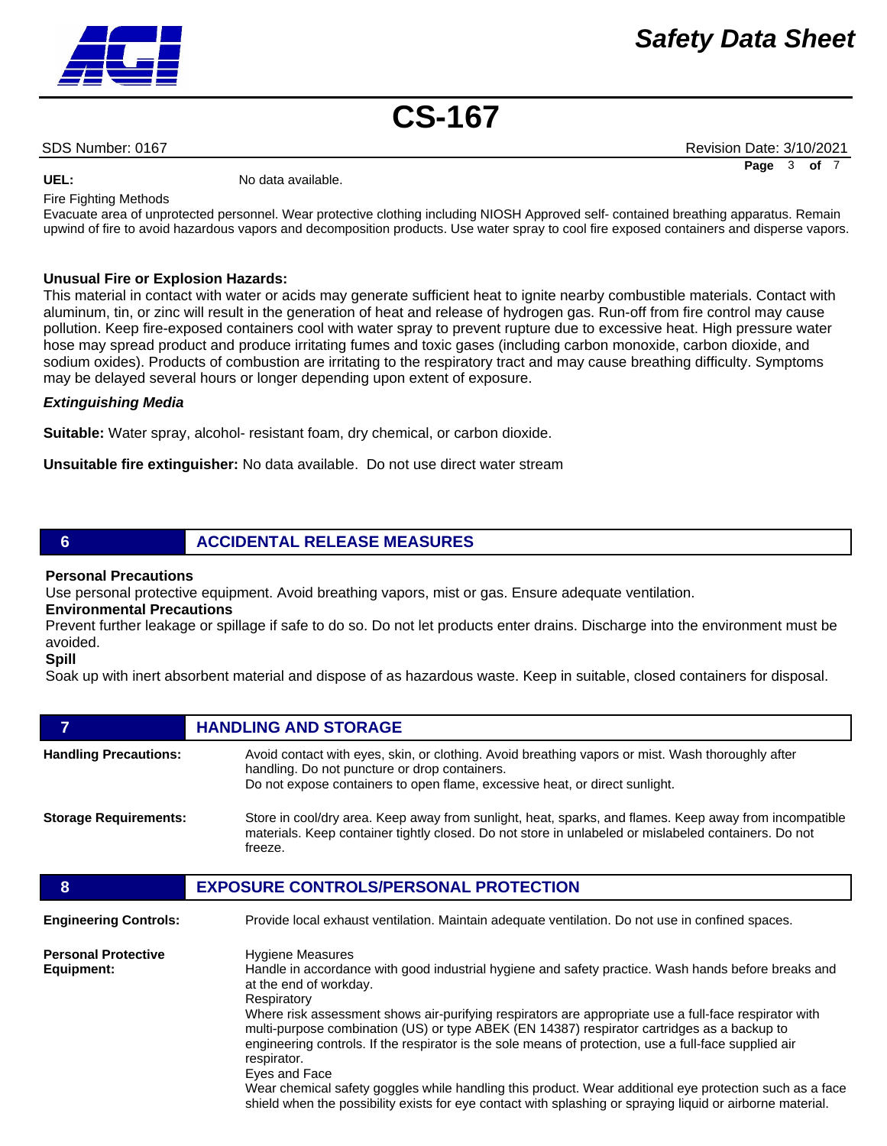SDS Number: 0167 Revision Date: 3/10/2021 **Page** 3 **of** 7

UEL: UEL: No data available.

Fire Fighting Methods

Evacuate area of unprotected personnel. Wear protective clothing including NIOSH Approved self- contained breathing apparatus. Remain upwind of fire to avoid hazardous vapors and decomposition products. Use water spray to cool fire exposed containers and disperse vapors.

### **Unusual Fire or Explosion Hazards:**

This material in contact with water or acids may generate sufficient heat to ignite nearby combustible materials. Contact with aluminum, tin, or zinc will result in the generation of heat and release of hydrogen gas. Run-off from fire control may cause pollution. Keep fire-exposed containers cool with water spray to prevent rupture due to excessive heat. High pressure water hose may spread product and produce irritating fumes and toxic gases (including carbon monoxide, carbon dioxide, and sodium oxides). Products of combustion are irritating to the respiratory tract and may cause breathing difficulty. Symptoms may be delayed several hours or longer depending upon extent of exposure.

### *Extinguishing Media*

**Suitable:** Water spray, alcohol- resistant foam, dry chemical, or carbon dioxide.

**Unsuitable fire extinguisher:** No data available. Do not use direct water stream

### **6 ACCIDENTAL RELEASE MEASURES**

### **Personal Precautions**

Use personal protective equipment. Avoid breathing vapors, mist or gas. Ensure adequate ventilation.

**Environmental Precautions** 

Prevent further leakage or spillage if safe to do so. Do not let products enter drains. Discharge into the environment must be avoided.

**Spill** 

Soak up with inert absorbent material and dispose of as hazardous waste. Keep in suitable, closed containers for disposal.

| 7                                        | <b>HANDLING AND STORAGE</b>                                                                                                                                                                                                                                                                                                                                                                                                                                                                                                                                                                                                                                                                                                                       |
|------------------------------------------|---------------------------------------------------------------------------------------------------------------------------------------------------------------------------------------------------------------------------------------------------------------------------------------------------------------------------------------------------------------------------------------------------------------------------------------------------------------------------------------------------------------------------------------------------------------------------------------------------------------------------------------------------------------------------------------------------------------------------------------------------|
| <b>Handling Precautions:</b>             | Avoid contact with eyes, skin, or clothing. Avoid breathing vapors or mist. Wash thoroughly after<br>handling. Do not puncture or drop containers.<br>Do not expose containers to open flame, excessive heat, or direct sunlight.                                                                                                                                                                                                                                                                                                                                                                                                                                                                                                                 |
| <b>Storage Requirements:</b>             | Store in cool/dry area. Keep away from sunlight, heat, sparks, and flames. Keep away from incompatible<br>materials. Keep container tightly closed. Do not store in unlabeled or mislabeled containers. Do not<br>freeze.                                                                                                                                                                                                                                                                                                                                                                                                                                                                                                                         |
| 8                                        | <b>EXPOSURE CONTROLS/PERSONAL PROTECTION</b>                                                                                                                                                                                                                                                                                                                                                                                                                                                                                                                                                                                                                                                                                                      |
| <b>Engineering Controls:</b>             | Provide local exhaust ventilation. Maintain adequate ventilation. Do not use in confined spaces.                                                                                                                                                                                                                                                                                                                                                                                                                                                                                                                                                                                                                                                  |
| <b>Personal Protective</b><br>Equipment: | <b>Hygiene Measures</b><br>Handle in accordance with good industrial hygiene and safety practice. Wash hands before breaks and<br>at the end of workday.<br>Respiratory<br>Where risk assessment shows air-purifying respirators are appropriate use a full-face respirator with<br>multi-purpose combination (US) or type ABEK (EN 14387) respirator cartridges as a backup to<br>engineering controls. If the respirator is the sole means of protection, use a full-face supplied air<br>respirator.<br>Eyes and Face<br>Wear chemical safety goggles while handling this product. Wear additional eye protection such as a face<br>shield when the possibility exists for eye contact with splashing or spraying liquid or airborne material. |

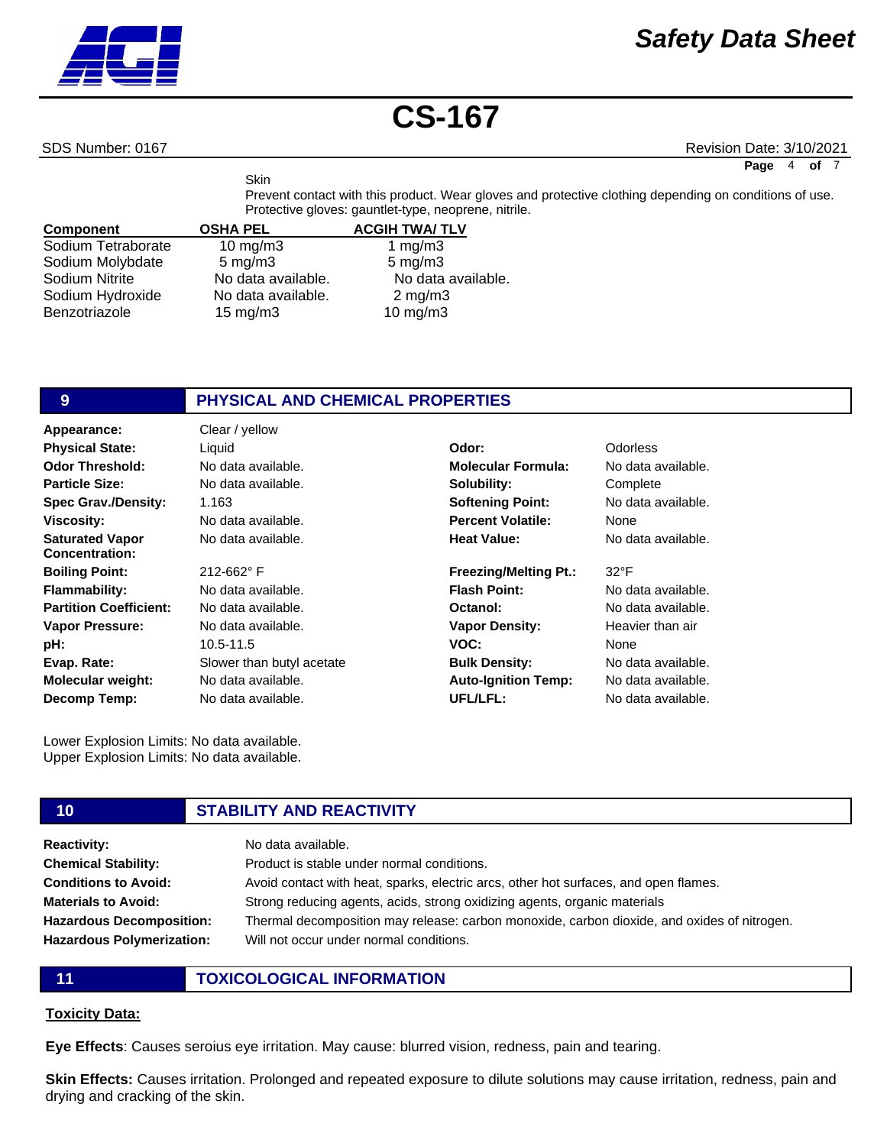

SDS Number: 0167 Revision Date: 3/10/2021

**Page** 4 **of** 7

Prevent contact with this product. Wear gloves and protective clothing depending on conditions of use. Protective gloves: gauntlet-type, neoprene, nitrile.

| <b>Component</b>   | <b>OSHA PEL</b>     | <b>ACGIH TWA/TLV</b> |
|--------------------|---------------------|----------------------|
| Sodium Tetraborate | $10$ mg/m $3$       | 1 $mg/m3$            |
| Sodium Molybdate   | $5 \text{ mg/m}$ 3  | $5 \text{ mg/m}$ 3   |
| Sodium Nitrite     | No data available.  | No data available.   |
| Sodium Hydroxide   | No data available.  | $2 \text{ mg/m}$ 3   |
| Benzotriazole      | $15 \text{ mg/m}$ 3 | $10$ mg/m $3$        |

**Skin** 

### **9 PHYSICAL AND CHEMICAL PROPERTIES**

| Appearance:                                     | Clear / yellow            |                              |               |
|-------------------------------------------------|---------------------------|------------------------------|---------------|
| <b>Physical State:</b>                          | Liquid                    | Odor:                        | Odorless      |
| <b>Odor Threshold:</b>                          | No data available.        | <b>Molecular Formula:</b>    | No data a     |
| <b>Particle Size:</b>                           | No data available.        | Solubility:                  | Complete      |
| <b>Spec Grav./Density:</b>                      | 1.163                     | <b>Softening Point:</b>      | No data a     |
| <b>Viscosity:</b>                               | No data available.        | <b>Percent Volatile:</b>     | None          |
| <b>Saturated Vapor</b><br><b>Concentration:</b> | No data available.        | <b>Heat Value:</b>           | No data a     |
| <b>Boiling Point:</b>                           | 212-662°F                 | <b>Freezing/Melting Pt.:</b> | $32^{\circ}F$ |
| <b>Flammability:</b>                            | No data available.        | <b>Flash Point:</b>          | No data a     |
| <b>Partition Coefficient:</b>                   | No data available.        | Octanol:                     | No data a     |
| <b>Vapor Pressure:</b>                          | No data available.        | <b>Vapor Density:</b>        | Heavier t     |
| pH:                                             | 10.5-11.5                 | VOC:                         | None          |
| Evap. Rate:                                     | Slower than butyl acetate | <b>Bulk Density:</b>         | No data a     |
| <b>Molecular weight:</b>                        | No data available.        | <b>Auto-Ignition Temp:</b>   | No data a     |
| <b>Decomp Temp:</b>                             | No data available.        | UFL/LFL:                     | No data a     |

**Molecular Formula:** No data available. **Complete** No data available. None No data available.

### 32°F

No data available. No data available. Heavier than air None No data available. No data available. No data available.

Lower Explosion Limits: No data available. Upper Explosion Limits: No data available.

### **10 STABILITY AND REACTIVITY**

| <b>Reactivity:</b>               | No data available.                                                                          |
|----------------------------------|---------------------------------------------------------------------------------------------|
| <b>Chemical Stability:</b>       | Product is stable under normal conditions.                                                  |
| <b>Conditions to Avoid:</b>      | Avoid contact with heat, sparks, electric arcs, other hot surfaces, and open flames.        |
| <b>Materials to Avoid:</b>       | Strong reducing agents, acids, strong oxidizing agents, organic materials                   |
| <b>Hazardous Decomposition:</b>  | Thermal decomposition may release: carbon monoxide, carbon dioxide, and oxides of nitrogen. |
| <b>Hazardous Polymerization:</b> | Will not occur under normal conditions.                                                     |

**11 TOXICOLOGICAL INFORMATION**

### **Toxicity Data:**

**Eye Effects**: Causes seroius eye irritation. May cause: blurred vision, redness, pain and tearing.

**Skin Effects:** Causes irritation. Prolonged and repeated exposure to dilute solutions may cause irritation, redness, pain and drying and cracking of the skin.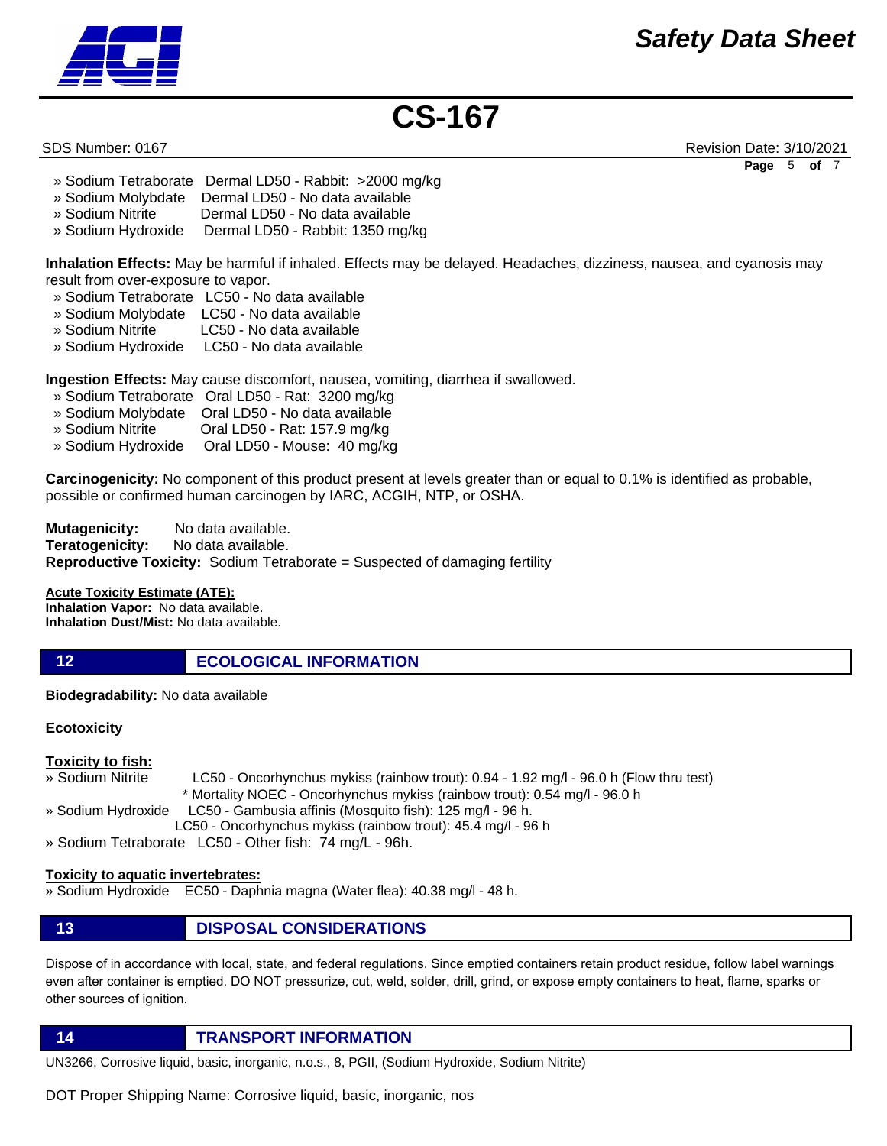

SDS Number: 0167 Revision Date: 3/10/2021 **Page** 5 **of** 7

- » Sodium Tetraborate Dermal LD50 Rabbit: >2000 mg/kg
- » Sodium Molybdate Dermal LD50 No data available
- » Sodium Nitrite Dermal LD50 No data available
- » Sodium Hydroxide Dermal LD50 Rabbit: 1350 mg/kg

**Inhalation Effects:** May be harmful if inhaled. Effects may be delayed. Headaches, dizziness, nausea, and cyanosis may result from over-exposure to vapor.

- » Sodium Tetraborate LC50 No data available
- » Sodium Molybdate LC50 No data available
- » Sodium Nitrite LC50 No data available
- » Sodium Hydroxide LC50 No data available

**Ingestion Effects:** May cause discomfort, nausea, vomiting, diarrhea if swallowed.

- » Sodium Tetraborate Oral LD50 Rat: 3200 mg/kg
- 
- » Sodium Molybdate Oral LD50 No data available Oral LD50 - Rat: 157.9 mg/kg
- » Sodium Hydroxide Oral LD50 Mouse: 40 mg/kg

**Carcinogenicity:** No component of this product present at levels greater than or equal to 0.1% is identified as probable, possible or confirmed human carcinogen by IARC, ACGIH, NTP, or OSHA.

**Mutagenicity:** No data available. **Teratogenicity:** No data available. **Reproductive Toxicity:** Sodium Tetraborate = Suspected of damaging fertility

### **Acute Toxicity Estimate (ATE):**

**Inhalation Vapor:** No data available. **Inhalation Dust/Mist:** No data available.

### **12 ECOLOGICAL INFORMATION**

**Biodegradability:** No data available

### **Ecotoxicity**

### **Toxicity to fish:**

» Sodium Nitrite LC50 - Oncorhynchus mykiss (rainbow trout): 0.94 - 1.92 mg/l - 96.0 h (Flow thru test) \* Mortality NOEC - Oncorhynchus mykiss (rainbow trout): 0.54 mg/l - 96.0 h » Sodium Hydroxide LC50 - Gambusia affinis (Mosquito fish): 125 mg/l - 96 h.

LC50 - Oncorhynchus mykiss (rainbow trout): 45.4 mg/l - 96 h

» Sodium Tetraborate LC50 - Other fish: 74 mg/L - 96h.

### **Toxicity to aquatic invertebrates:**

» Sodium Hydroxide EC50 - Daphnia magna (Water flea): 40.38 mg/l - 48 h.

### **13 DISPOSAL CONSIDERATIONS**

Dispose of in accordance with local, state, and federal regulations. Since emptied containers retain product residue, follow label warnings even after container is emptied. DO NOT pressurize, cut, weld, solder, drill, grind, or expose empty containers to heat, flame, sparks or other sources of ignition.

**14 TRANSPORT INFORMATION**

UN3266, Corrosive liquid, basic, inorganic, n.o.s., 8, PGII, (Sodium Hydroxide, Sodium Nitrite)

DOT Proper Shipping Name: Corrosive liquid, basic, inorganic, nos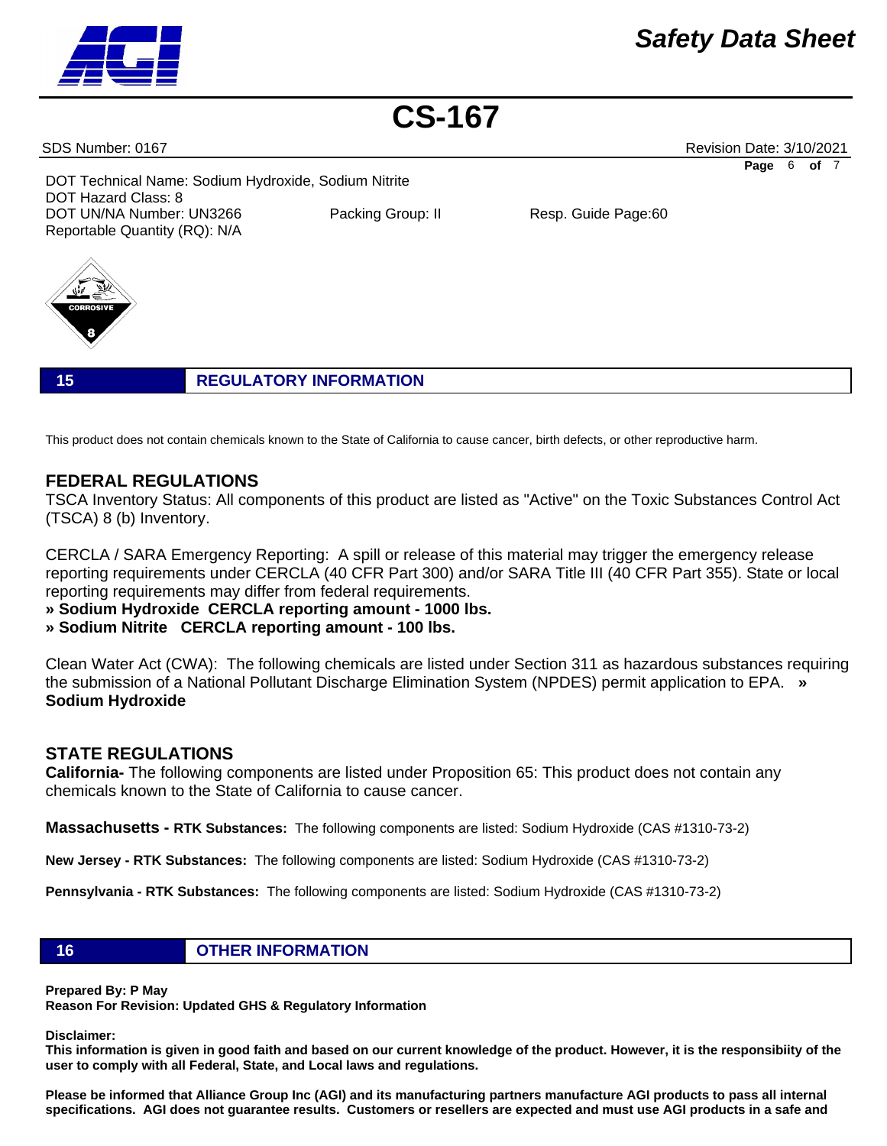### SDS Number: 0167 Revision Date: 3/10/2021

DOT Technical Name: Sodium Hydroxide, Sodium Nitrite DOT Hazard Class: 8 DOT UN/NA Number: UN3266 Packing Group: II Resp. Guide Page:60 Reportable Quantity (RQ): N/A



**15 REGULATORY INFORMATION**

This product does not contain chemicals known to the State of California to cause cancer, birth defects, or other reproductive harm.

### **FEDERAL REGULATIONS**

TSCA Inventory Status: All components of this product are listed as "Active" on the Toxic Substances Control Act (TSCA) 8 (b) Inventory.

CERCLA / SARA Emergency Reporting: A spill or release of this material may trigger the emergency release reporting requirements under CERCLA (40 CFR Part 300) and/or SARA Title III (40 CFR Part 355). State or local reporting requirements may differ from federal requirements.

**» Sodium Hydroxide CERCLA reporting amount - 1000 lbs.** 

**» Sodium Nitrite CERCLA reporting amount - 100 lbs.**

Clean Water Act (CWA): The following chemicals are listed under Section 311 as hazardous substances requiring the submission of a National Pollutant Discharge Elimination System (NPDES) permit application to EPA. **» Sodium Hydroxide**

### **STATE REGULATIONS**

**California-** The following components are listed under Proposition 65: This product does not contain any chemicals known to the State of California to cause cancer.

**Massachusetts - RTK Substances:** The following components are listed: Sodium Hydroxide (CAS #1310-73-2)

**New Jersey - RTK Substances:** The following components are listed: Sodium Hydroxide (CAS #1310-73-2)

**Pennsylvania - RTK Substances:** The following components are listed: Sodium Hydroxide (CAS #1310-73-2)

**16 OTHER INFORMATION**

**Prepared By: P May** 

**Reason For Revision: Updated GHS & Regulatory Information** 

**Disclaimer:** 

**This information is given in good faith and based on our current knowledge of the product. However, it is the responsibiity of the user to comply with all Federal, State, and Local laws and regulations.** 

**Please be informed that Alliance Group Inc (AGI) and its manufacturing partners manufacture AGI products to pass all internal specifications. AGI does not guarantee results. Customers or resellers are expected and must use AGI products in a safe and** 



**Page** 6 **of** 7